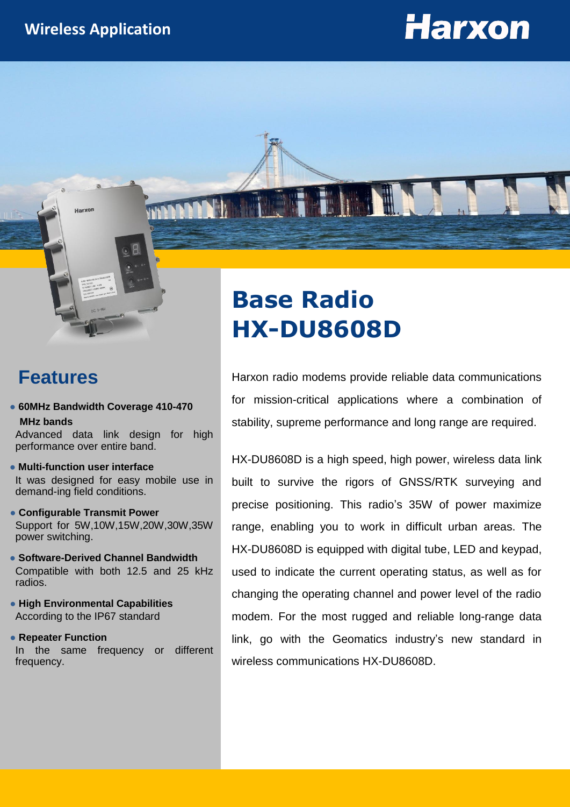# **Harxon**



#### **Features**

**● 60MHz Bandwidth Coverage 410-470 MHz bands**

Advanced data link design for high performance over entire band.

- **● Multi-function user interface** It was designed for easy mobile use in demand-ing field conditions.
- **● Configurable Transmit Power** Support for 5W,10W,15W,20W,30W,35W power switching.
- **Software-Derived Channel Bandwidth** Compatible with both 12.5 and 25 kHz radios.
- **High Environmental Capabilities** According to the IP67 standard
- **Repeater Function**

In the same frequency or different frequency.

# **Base Radio HX-DU8608D**

Harxon radio modems provide reliable data communications for mission-critical applications where a combination of stability, supreme performance and long range are required.

HX-DU8608D is a high speed, high power, wireless data link built to survive the rigors of GNSS/RTK surveying and precise positioning. This radio's 35W of power maximize range, enabling you to work in difficult urban areas. The HX-DU8608D is equipped with digital tube, LED and keypad, used to indicate the current operating status, as well as for changing the operating channel and power level of the radio modem. For the most rugged and reliable long-range data link, go with the Geomatics industry's new standard in wireless communications HX-DU8608D.